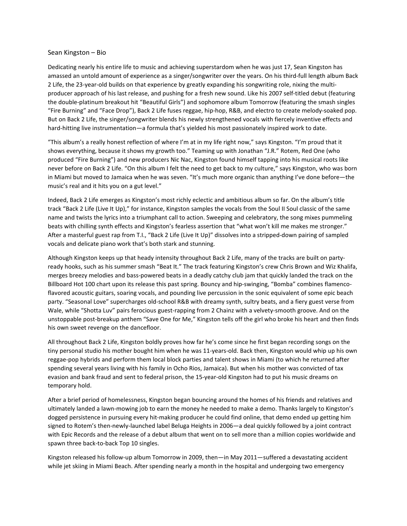## Sean Kingston – Bio

Dedicating nearly his entire life to music and achieving superstardom when he was just 17, Sean Kingston has amassed an untold amount of experience as a singer/songwriter over the years. On his third-full length album Back 2 Life, the 23-year-old builds on that experience by greatly expanding his songwriting role, nixing the multiproducer approach of his last release, and pushing for a fresh new sound. Like his 2007 self-titled debut (featuring the double-platinum breakout hit "Beautiful Girls") and sophomore album Tomorrow (featuring the smash singles "Fire Burning" and "Face Drop"), Back 2 Life fuses reggae, hip-hop, R&B, and electro to create melody-soaked pop. But on Back 2 Life, the singer/songwriter blends his newly strengthened vocals with fiercely inventive effects and hard-hitting live instrumentation—a formula that's yielded his most passionately inspired work to date.

"This album's a really honest reflection of where I'm at in my life right now," says Kingston. "I'm proud that it shows everything, because it shows my growth too." Teaming up with Jonathan "J.R." Rotem, Red One (who produced "Fire Burning") and new producers Nic Nac, Kingston found himself tapping into his musical roots like never before on Back 2 Life. "On this album I felt the need to get back to my culture," says Kingston, who was born in Miami but moved to Jamaica when he was seven. "It's much more organic than anything I've done before—the music's real and it hits you on a gut level."

Indeed, Back 2 Life emerges as Kingston's most richly eclectic and ambitious album so far. On the album's title track "Back 2 Life (Live It Up)," for instance, Kingston samples the vocals from the Soul II Soul classic of the same name and twists the lyrics into a triumphant call to action. Sweeping and celebratory, the song mixes pummeling beats with chilling synth effects and Kingston's fearless assertion that "what won't kill me makes me stronger." After a masterful guest rap from T.I., "Back 2 Life (Live It Up)" dissolves into a stripped-down pairing of sampled vocals and delicate piano work that's both stark and stunning.

Although Kingston keeps up that heady intensity throughout Back 2 Life, many of the tracks are built on partyready hooks, such as his summer smash "Beat It." The track featuring Kingston's crew Chris Brown and Wiz Khalifa, merges breezy melodies and bass-powered beats in a deadly catchy club jam that quickly landed the track on the Billboard Hot 100 chart upon its release this past spring. Bouncy and hip-swinging, "Bomba" combines flamencoflavored acoustic guitars, soaring vocals, and pounding live percussion in the sonic equivalent of some epic beach party. "Seasonal Love" supercharges old-school R&B with dreamy synth, sultry beats, and a fiery guest verse from Wale, while "Shotta Luv" pairs ferocious guest-rapping from 2 Chainz with a velvety-smooth groove. And on the unstoppable post-breakup anthem "Save One for Me," Kingston tells off the girl who broke his heart and then finds his own sweet revenge on the dancefloor.

All throughout Back 2 Life, Kingston boldly proves how far he's come since he first began recording songs on the tiny personal studio his mother bought him when he was 11-years-old. Back then, Kingston would whip up his own reggae-pop hybrids and perform them local block parties and talent shows in Miami (to which he returned after spending several years living with his family in Ocho Rios, Jamaica). But when his mother was convicted of tax evasion and bank fraud and sent to federal prison, the 15-year-old Kingston had to put his music dreams on temporary hold.

After a brief period of homelessness, Kingston began bouncing around the homes of his friends and relatives and ultimately landed a lawn-mowing job to earn the money he needed to make a demo. Thanks largely to Kingston's dogged persistence in pursuing every hit-making producer he could find online, that demo ended up getting him signed to Rotem's then-newly-launched label Beluga Heights in 2006—a deal quickly followed by a joint contract with Epic Records and the release of a debut album that went on to sell more than a million copies worldwide and spawn three back-to-back Top 10 singles.

Kingston released his follow-up album Tomorrow in 2009, then—in May 2011—suffered a devastating accident while jet skiing in Miami Beach. After spending nearly a month in the hospital and undergoing two emergency